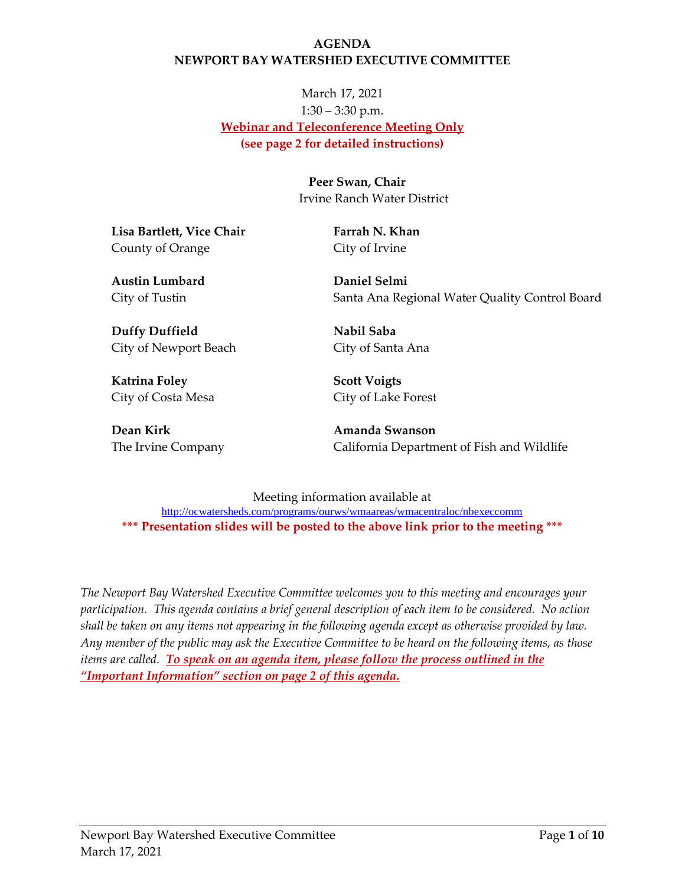#### **AGENDA NEWPORT BAY WATERSHED EXECUTIVE COMMITTEE**

# March 17, 2021 1:30 – 3:30 p.m. **Webinar and Teleconference Meeting Only (see page 2 for detailed instructions)**

**Peer Swan, Chair** Irvine Ranch Water District

**Lisa Bartlett, Vice Chair** County of Orange

**Farrah N. Khan** City of Irvine

**Austin Lumbard** City of Tustin

**Daniel Selmi** Santa Ana Regional Water Quality Control Board

**Duffy Duffield**  City of Newport Beach

**Katrina Foley**  City of Costa Mesa

**Dean Kirk** The Irvine Company **Nabil Saba** City of Santa Ana

**Scott Voigts** City of Lake Forest

**Amanda Swanson** California Department of Fish and Wildlife

Meeting information available at <http://ocwatersheds.com/programs/ourws/wmaareas/wmacentraloc/nbexeccomm> **\*\*\* Presentation slides will be posted to the above link prior to the meeting \*\*\***

*The Newport Bay Watershed Executive Committee welcomes you to this meeting and encourages your participation. This agenda contains a brief general description of each item to be considered. No action shall be taken on any items not appearing in the following agenda except as otherwise provided by law. Any member of the public may ask the Executive Committee to be heard on the following items, as those items are called. To speak on an agenda item, please follow the process outlined in the "Important Information" section on page 2 of this agenda.*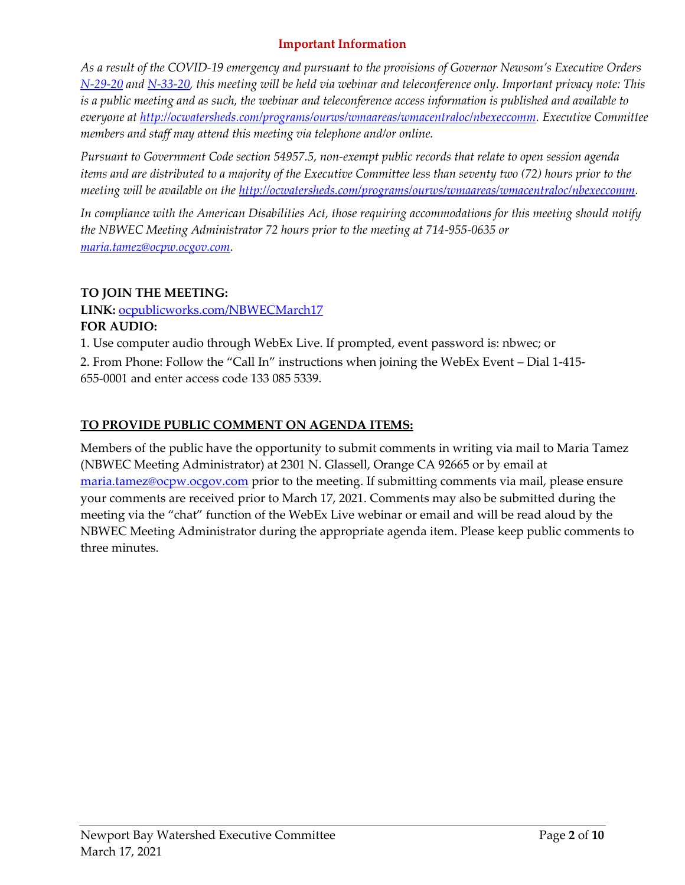#### **Important Information**

*As a result of the COVID-19 emergency and pursuant to the provisions of Governor Newsom's Executive Orders [N-29-20](https://www.gov.ca.gov/wp-content/uploads/2020/03/3.17.20-N-29-20-EO.pdf) and [N-33-20,](https://www.gov.ca.gov/wp-content/uploads/2020/03/3.19.20-attested-EO-N-33-20-COVID-19-HEALTH-ORDER.pdf) this meeting will be held via webinar and teleconference only. Important privacy note: This is a public meeting and as such, the webinar and teleconference access information is published and available to everyone at [http://ocwatersheds.com/programs/ourws/wmaareas/wmacentraloc/nbexeccomm.](http://ocwatersheds.com/programs/ourws/wmaareas/wmacentraloc/nbexeccomm) Executive Committee members and staff may attend this meeting via telephone and/or online.*

*Pursuant to Government Code section 54957.5, non-exempt public records that relate to open session agenda items and are distributed to a majority of the Executive Committee less than seventy two (72) hours prior to the meeting will be available on the [http://ocwatersheds.com/programs/ourws/wmaareas/wmacentraloc/nbexeccomm.](http://ocwatersheds.com/programs/ourws/wmaareas/wmacentraloc/nbexeccomm)*

*In compliance with the American Disabilities Act, those requiring accommodations for this meeting should notify the NBWEC Meeting Administrator 72 hours prior to the meeting at 714-955-0635 or [maria.tamez@ocpw.ocgov.com.](mailto:maria.tamez@ocpw.ocgov.com)*

#### **TO JOIN THE MEETING:**

#### **LINK:** <ocpublicworks.com/NBWECMarch17> **FOR AUDIO:**

1. Use computer audio through WebEx Live. If prompted, event password is: nbwec; or

2. From Phone: Follow the "Call In" instructions when joining the WebEx Event – Dial 1-415- 655-0001 and enter access code 133 085 5339.

### **TO PROVIDE PUBLIC COMMENT ON AGENDA ITEMS:**

Members of the public have the opportunity to submit comments in writing via mail to Maria Tamez (NBWEC Meeting Administrator) at 2301 N. Glassell, Orange CA 92665 or by email at [maria.tamez@ocpw.ocgov.com](mailto:maria.tamez@ocpw.ocgov.com) prior to the meeting. If submitting comments via mail, please ensure your comments are received prior to March 17, 2021. Comments may also be submitted during the meeting via the "chat" function of the WebEx Live webinar or email and will be read aloud by the NBWEC Meeting Administrator during the appropriate agenda item. Please keep public comments to three minutes.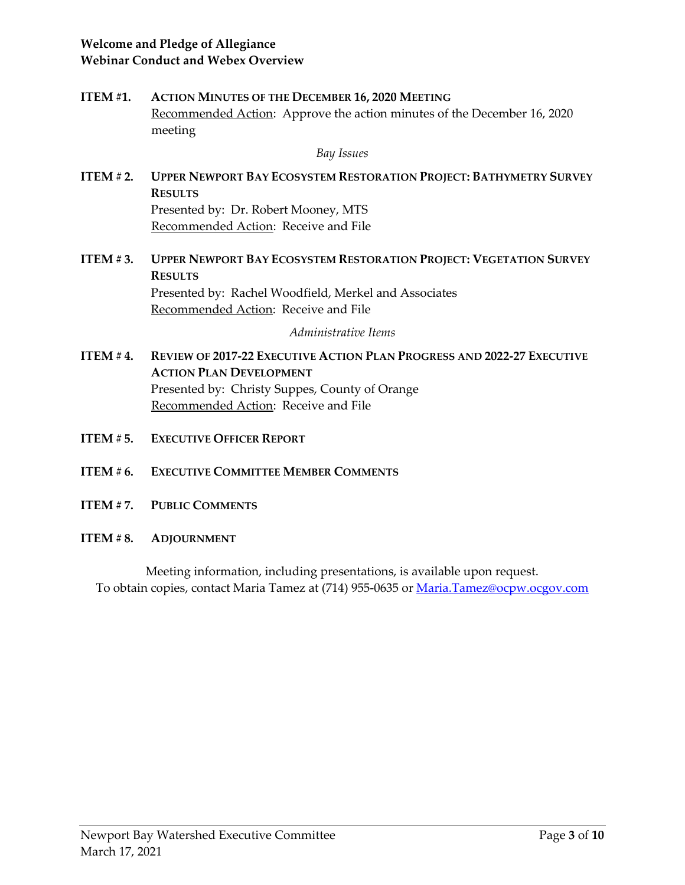#### **Welcome and Pledge of Allegiance Webinar Conduct and Webex Overview**

**ITEM #1. ACTION MINUTES OF THE DECEMBER 16, 2020 MEETING** Recommended Action: Approve the action minutes of the December 16, 2020 meeting

*Bay Issues*

- **ITEM # 2. UPPER NEWPORT BAY ECOSYSTEM RESTORATION PROJECT: BATHYMETRY SURVEY RESULTS** Presented by: Dr. Robert Mooney, MTS Recommended Action: Receive and File
- **ITEM # 3. UPPER NEWPORT BAY ECOSYSTEM RESTORATION PROJECT: VEGETATION SURVEY RESULTS** Presented by: Rachel Woodfield, Merkel and Associates Recommended Action: Receive and File

*Administrative Items*

- **ITEM # 4. REVIEW OF 2017-22 EXECUTIVE ACTION PLAN PROGRESS AND 2022-27 EXECUTIVE ACTION PLAN DEVELOPMENT** Presented by: Christy Suppes, County of Orange Recommended Action: Receive and File
- **ITEM # 5. EXECUTIVE OFFICER REPORT**
- **ITEM # 6. EXECUTIVE COMMITTEE MEMBER COMMENTS**
- **ITEM # 7. PUBLIC COMMENTS**
- **ITEM # 8. ADJOURNMENT**

Meeting information, including presentations, is available upon request. To obtain copies, contact Maria Tamez at (714) 955-0635 or [Maria.Tamez@ocpw.ocgov.com](mailto:Maria.Tamez@ocpw.ocgov.com)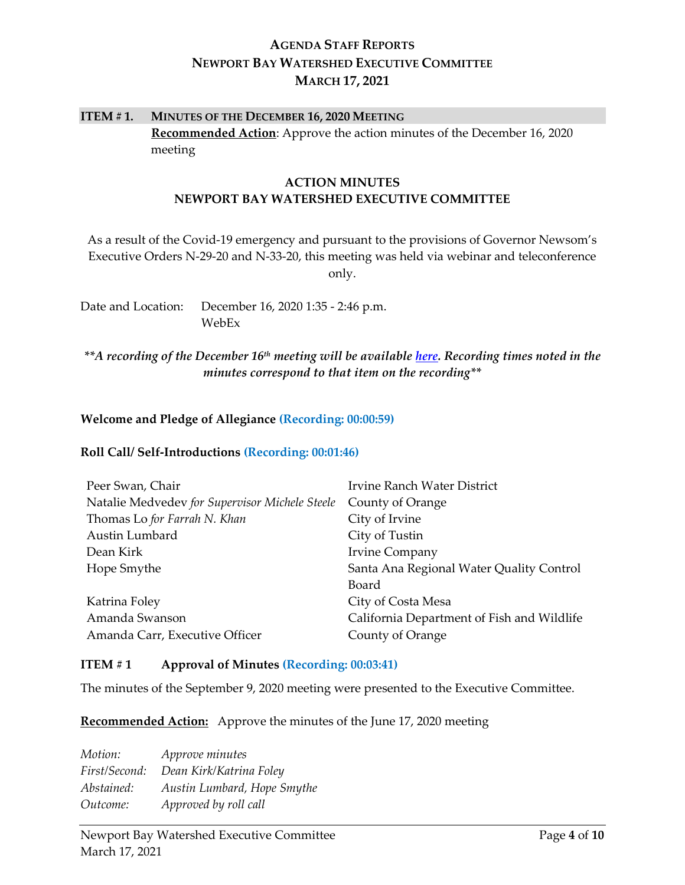# **AGENDA STAFF REPORTS NEWPORT BAY WATERSHED EXECUTIVE COMMITTEE MARCH 17, 2021**

# **ITEM # 1. MINUTES OF THE DECEMBER 16, 2020 MEETING Recommended Action**: Approve the action minutes of the December 16, 2020 meeting

#### **ACTION MINUTES NEWPORT BAY WATERSHED EXECUTIVE COMMITTEE**

As a result of the Covid-19 emergency and pursuant to the provisions of Governor Newsom's Executive Orders N-29-20 and N-33-20, this meeting was held via webinar and teleconference only.

Date and Location: December 16, 2020 1:35 - 2:46 p.m. WebEx

*\*\*A recording of the December 16th meeting will be available [here.](https://ocgov.box.com/s/3h2hze97m2poho6sbjsovn20lhj8qefd) Recording times noted in the minutes correspond to that item on the recording\*\**

#### **Welcome and Pledge of Allegiance (Recording: 00:00:59)**

#### **Roll Call/ Self-Introductions (Recording: 00:01:46)**

| Peer Swan, Chair                               | Irvine Ranch Water District                |
|------------------------------------------------|--------------------------------------------|
| Natalie Medvedev for Supervisor Michele Steele | County of Orange                           |
| Thomas Lo for Farrah N. Khan                   | City of Irvine                             |
| Austin Lumbard                                 | City of Tustin                             |
| Dean Kirk                                      | <b>Irvine Company</b>                      |
| Hope Smythe                                    | Santa Ana Regional Water Quality Control   |
|                                                | Board                                      |
| Katrina Foley                                  | City of Costa Mesa                         |
| Amanda Swanson                                 | California Department of Fish and Wildlife |
| Amanda Carr, Executive Officer                 | County of Orange                           |

#### **ITEM # 1 Approval of Minutes (Recording: 00:03:41)**

The minutes of the September 9, 2020 meeting were presented to the Executive Committee.

**Recommended Action:** Approve the minutes of the June 17, 2020 meeting

*Motion: Approve minutes First/Second: Dean Kirk/Katrina Foley Abstained: Austin Lumbard, Hope Smythe Outcome: Approved by roll call*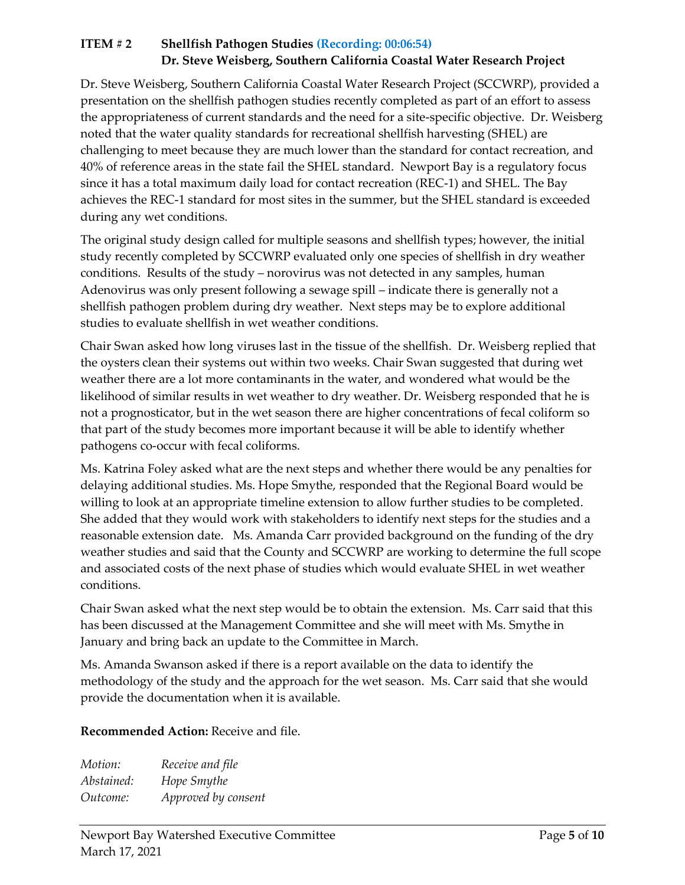# **ITEM # 2 Shellfish Pathogen Studies (Recording: 00:06:54) Dr. Steve Weisberg, Southern California Coastal Water Research Project**

Dr. Steve Weisberg, Southern California Coastal Water Research Project (SCCWRP), provided a presentation on the shellfish pathogen studies recently completed as part of an effort to assess the appropriateness of current standards and the need for a site-specific objective. Dr. Weisberg noted that the water quality standards for recreational shellfish harvesting (SHEL) are challenging to meet because they are much lower than the standard for contact recreation, and 40% of reference areas in the state fail the SHEL standard. Newport Bay is a regulatory focus since it has a total maximum daily load for contact recreation (REC-1) and SHEL. The Bay achieves the REC-1 standard for most sites in the summer, but the SHEL standard is exceeded during any wet conditions.

The original study design called for multiple seasons and shellfish types; however, the initial study recently completed by SCCWRP evaluated only one species of shellfish in dry weather conditions. Results of the study – norovirus was not detected in any samples, human Adenovirus was only present following a sewage spill – indicate there is generally not a shellfish pathogen problem during dry weather. Next steps may be to explore additional studies to evaluate shellfish in wet weather conditions.

Chair Swan asked how long viruses last in the tissue of the shellfish. Dr. Weisberg replied that the oysters clean their systems out within two weeks. Chair Swan suggested that during wet weather there are a lot more contaminants in the water, and wondered what would be the likelihood of similar results in wet weather to dry weather. Dr. Weisberg responded that he is not a prognosticator, but in the wet season there are higher concentrations of fecal coliform so that part of the study becomes more important because it will be able to identify whether pathogens co-occur with fecal coliforms.

Ms. Katrina Foley asked what are the next steps and whether there would be any penalties for delaying additional studies. Ms. Hope Smythe, responded that the Regional Board would be willing to look at an appropriate timeline extension to allow further studies to be completed. She added that they would work with stakeholders to identify next steps for the studies and a reasonable extension date. Ms. Amanda Carr provided background on the funding of the dry weather studies and said that the County and SCCWRP are working to determine the full scope and associated costs of the next phase of studies which would evaluate SHEL in wet weather conditions.

Chair Swan asked what the next step would be to obtain the extension. Ms. Carr said that this has been discussed at the Management Committee and she will meet with Ms. Smythe in January and bring back an update to the Committee in March.

Ms. Amanda Swanson asked if there is a report available on the data to identify the methodology of the study and the approach for the wet season. Ms. Carr said that she would provide the documentation when it is available.

**Recommended Action:** Receive and file.

*Motion: Receive and file Abstained: Hope Smythe Outcome: Approved by consent*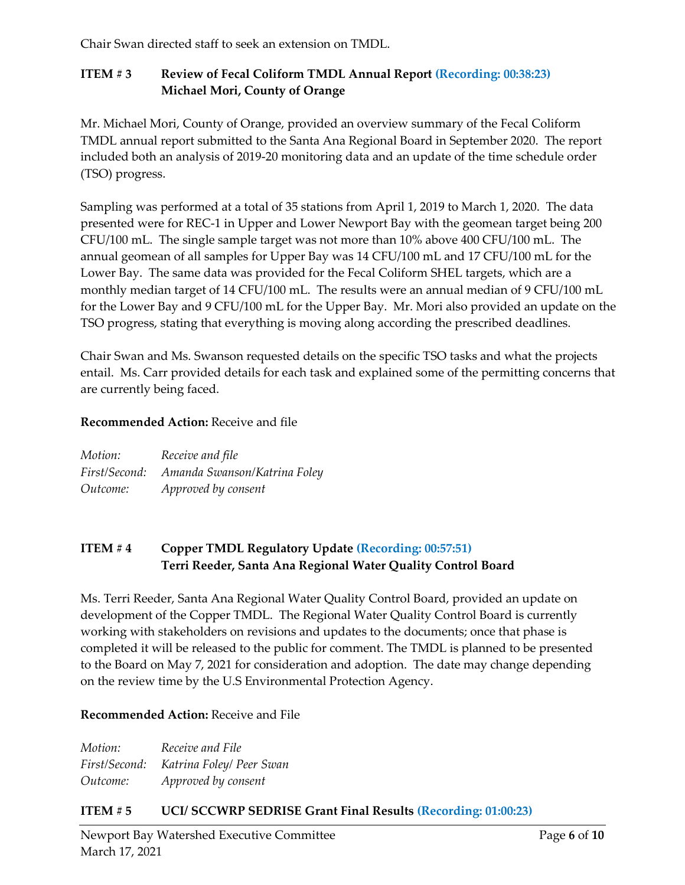Chair Swan directed staff to seek an extension on TMDL.

# **ITEM # 3 Review of Fecal Coliform TMDL Annual Report (Recording: 00:38:23) Michael Mori, County of Orange**

Mr. Michael Mori, County of Orange, provided an overview summary of the Fecal Coliform TMDL annual report submitted to the Santa Ana Regional Board in September 2020. The report included both an analysis of 2019-20 monitoring data and an update of the time schedule order (TSO) progress.

Sampling was performed at a total of 35 stations from April 1, 2019 to March 1, 2020. The data presented were for REC-1 in Upper and Lower Newport Bay with the geomean target being 200 CFU/100 mL. The single sample target was not more than 10% above 400 CFU/100 mL. The annual geomean of all samples for Upper Bay was 14 CFU/100 mL and 17 CFU/100 mL for the Lower Bay. The same data was provided for the Fecal Coliform SHEL targets, which are a monthly median target of 14 CFU/100 mL. The results were an annual median of 9 CFU/100 mL for the Lower Bay and 9 CFU/100 mL for the Upper Bay. Mr. Mori also provided an update on the TSO progress, stating that everything is moving along according the prescribed deadlines.

Chair Swan and Ms. Swanson requested details on the specific TSO tasks and what the projects entail. Ms. Carr provided details for each task and explained some of the permitting concerns that are currently being faced.

#### **Recommended Action:** Receive and file

| Motion:  | Receive and file                           |
|----------|--------------------------------------------|
|          | First/Second: Amanda Swanson/Katrina Foley |
| Outcome: | Approved by consent                        |

### **ITEM # 4 Copper TMDL Regulatory Update (Recording: 00:57:51) Terri Reeder, Santa Ana Regional Water Quality Control Board**

Ms. Terri Reeder, Santa Ana Regional Water Quality Control Board, provided an update on development of the Copper TMDL. The Regional Water Quality Control Board is currently working with stakeholders on revisions and updates to the documents; once that phase is completed it will be released to the public for comment. The TMDL is planned to be presented to the Board on May 7, 2021 for consideration and adoption. The date may change depending on the review time by the U.S Environmental Protection Agency.

#### **Recommended Action:** Receive and File

*Motion: Receive and File First/Second: Katrina Foley/ Peer Swan Outcome: Approved by consent*

# **ITEM # 5 UCI/ SCCWRP SEDRISE Grant Final Results (Recording: 01:00:23)**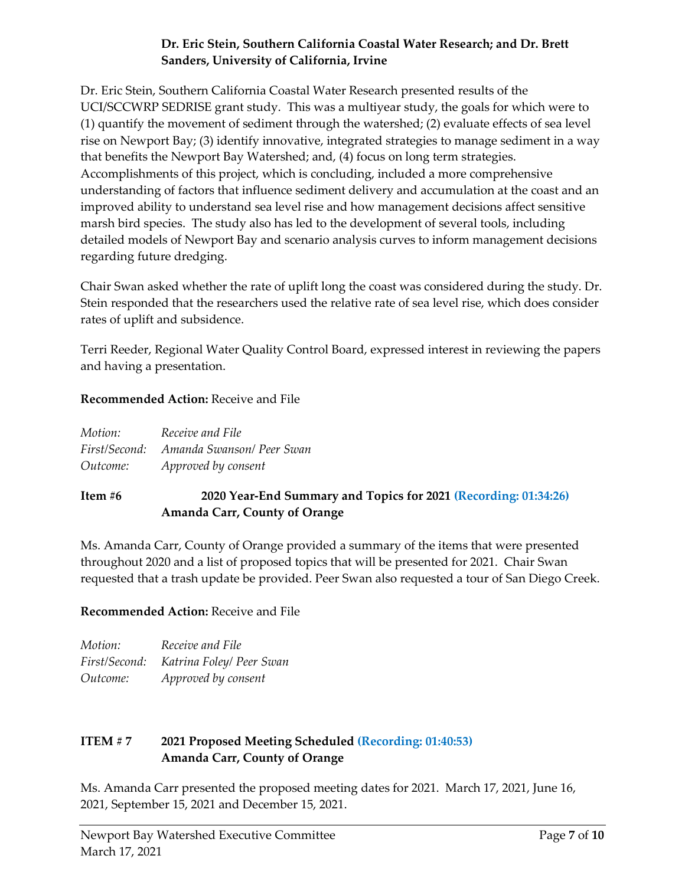### **Dr. Eric Stein, Southern California Coastal Water Research; and Dr. Brett Sanders, University of California, Irvine**

Dr. Eric Stein, Southern California Coastal Water Research presented results of the UCI/SCCWRP SEDRISE grant study. This was a multiyear study, the goals for which were to (1) quantify the movement of sediment through the watershed; (2) evaluate effects of sea level rise on Newport Bay; (3) identify innovative, integrated strategies to manage sediment in a way that benefits the Newport Bay Watershed; and, (4) focus on long term strategies. Accomplishments of this project, which is concluding, included a more comprehensive understanding of factors that influence sediment delivery and accumulation at the coast and an improved ability to understand sea level rise and how management decisions affect sensitive marsh bird species. The study also has led to the development of several tools, including detailed models of Newport Bay and scenario analysis curves to inform management decisions regarding future dredging.

Chair Swan asked whether the rate of uplift long the coast was considered during the study. Dr. Stein responded that the researchers used the relative rate of sea level rise, which does consider rates of uplift and subsidence.

Terri Reeder, Regional Water Quality Control Board, expressed interest in reviewing the papers and having a presentation.

### **Recommended Action:** Receive and File

| Motion:  | Receive and File                        |
|----------|-----------------------------------------|
|          | First/Second: Amanda Swanson/ Peer Swan |
| Outcome: | Approved by consent                     |
|          |                                         |

# **Item #6 2020 Year-End Summary and Topics for 2021 (Recording: 01:34:26) Amanda Carr, County of Orange**

Ms. Amanda Carr, County of Orange provided a summary of the items that were presented throughout 2020 and a list of proposed topics that will be presented for 2021. Chair Swan requested that a trash update be provided. Peer Swan also requested a tour of San Diego Creek.

# **Recommended Action:** Receive and File

| Motion:  | Receive and File                       |
|----------|----------------------------------------|
|          | First/Second: Katrina Foley/ Peer Swan |
| Outcome: | Approved by consent                    |

### **ITEM # 7 2021 Proposed Meeting Scheduled (Recording: 01:40:53) Amanda Carr, County of Orange**

Ms. Amanda Carr presented the proposed meeting dates for 2021. March 17, 2021, June 16, 2021, September 15, 2021 and December 15, 2021.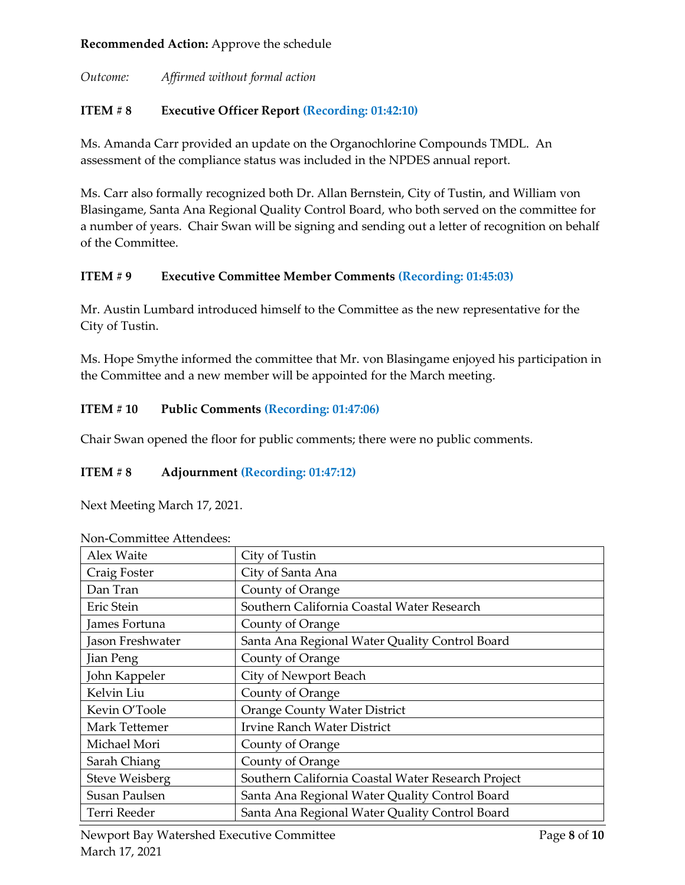#### **Recommended Action:** Approve the schedule

*Outcome: Affirmed without formal action*

# **ITEM # 8 Executive Officer Report (Recording: 01:42:10)**

Ms. Amanda Carr provided an update on the Organochlorine Compounds TMDL. An assessment of the compliance status was included in the NPDES annual report.

Ms. Carr also formally recognized both Dr. Allan Bernstein, City of Tustin, and William von Blasingame, Santa Ana Regional Quality Control Board, who both served on the committee for a number of years. Chair Swan will be signing and sending out a letter of recognition on behalf of the Committee.

### **ITEM # 9 Executive Committee Member Comments (Recording: 01:45:03)**

Mr. Austin Lumbard introduced himself to the Committee as the new representative for the City of Tustin.

Ms. Hope Smythe informed the committee that Mr. von Blasingame enjoyed his participation in the Committee and a new member will be appointed for the March meeting.

# **ITEM # 10 Public Comments (Recording: 01:47:06)**

Chair Swan opened the floor for public comments; there were no public comments.

#### **ITEM # 8 Adjournment (Recording: 01:47:12)**

Next Meeting March 17, 2021.

| Alex Waite            | City of Tustin                                     |
|-----------------------|----------------------------------------------------|
| Craig Foster          | City of Santa Ana                                  |
| Dan Tran              | County of Orange                                   |
| Eric Stein            | Southern California Coastal Water Research         |
| James Fortuna         | County of Orange                                   |
| Jason Freshwater      | Santa Ana Regional Water Quality Control Board     |
| Jian Peng             | County of Orange                                   |
| John Kappeler         | City of Newport Beach                              |
| Kelvin Liu            | County of Orange                                   |
| Kevin O'Toole         | <b>Orange County Water District</b>                |
| Mark Tettemer         | <b>Irvine Ranch Water District</b>                 |
| Michael Mori          | County of Orange                                   |
| Sarah Chiang          | County of Orange                                   |
| <b>Steve Weisberg</b> | Southern California Coastal Water Research Project |
| Susan Paulsen         | Santa Ana Regional Water Quality Control Board     |
| Terri Reeder          | Santa Ana Regional Water Quality Control Board     |
|                       |                                                    |

Non-Committee Attendees: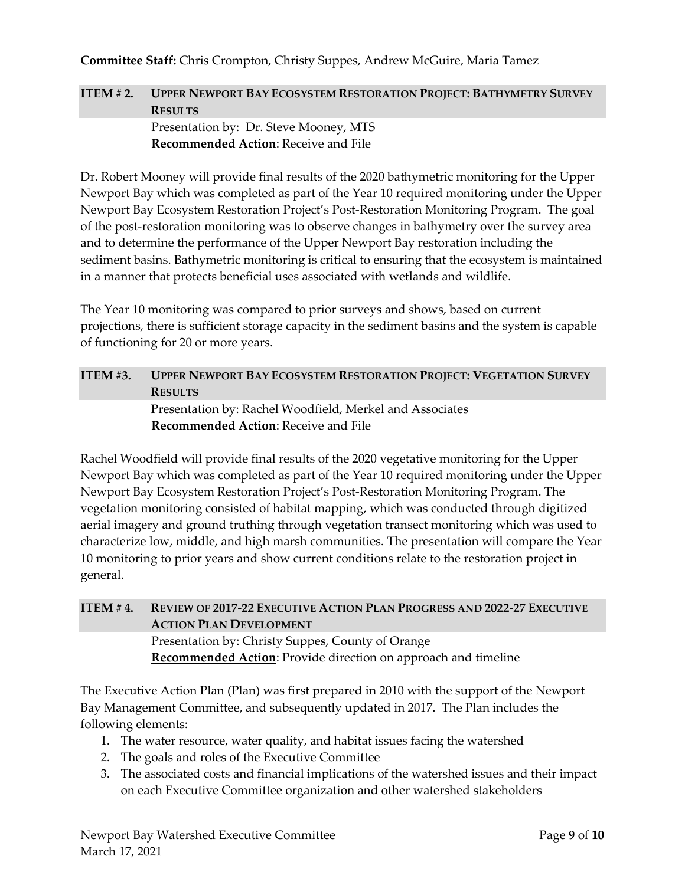#### **Committee Staff:** Chris Crompton, Christy Suppes, Andrew McGuire, Maria Tamez

### **ITEM # 2. UPPER NEWPORT BAY ECOSYSTEM RESTORATION PROJECT: BATHYMETRY SURVEY RESULTS** Presentation by: Dr. Steve Mooney, MTS **Recommended Action**: Receive and File

Dr. Robert Mooney will provide final results of the 2020 bathymetric monitoring for the Upper Newport Bay which was completed as part of the Year 10 required monitoring under the Upper Newport Bay Ecosystem Restoration Project's Post-Restoration Monitoring Program. The goal of the post-restoration monitoring was to observe changes in bathymetry over the survey area and to determine the performance of the Upper Newport Bay restoration including the sediment basins. Bathymetric monitoring is critical to ensuring that the ecosystem is maintained in a manner that protects beneficial uses associated with wetlands and wildlife.

The Year 10 monitoring was compared to prior surveys and shows, based on current projections, there is sufficient storage capacity in the sediment basins and the system is capable of functioning for 20 or more years.

# **ITEM #3. UPPER NEWPORT BAY ECOSYSTEM RESTORATION PROJECT: VEGETATION SURVEY RESULTS**

Presentation by: Rachel Woodfield, Merkel and Associates **Recommended Action**: Receive and File

Rachel Woodfield will provide final results of the 2020 vegetative monitoring for the Upper Newport Bay which was completed as part of the Year 10 required monitoring under the Upper Newport Bay Ecosystem Restoration Project's Post-Restoration Monitoring Program. The vegetation monitoring consisted of habitat mapping, which was conducted through digitized aerial imagery and ground truthing through vegetation transect monitoring which was used to characterize low, middle, and high marsh communities. The presentation will compare the Year 10 monitoring to prior years and show current conditions relate to the restoration project in general.

### **ITEM # 4. REVIEW OF 2017-22 EXECUTIVE ACTION PLAN PROGRESS AND 2022-27 EXECUTIVE ACTION PLAN DEVELOPMENT** Presentation by: Christy Suppes, County of Orange

**Recommended Action**: Provide direction on approach and timeline

The Executive Action Plan (Plan) was first prepared in 2010 with the support of the Newport Bay Management Committee, and subsequently updated in 2017. The Plan includes the following elements:

- 1. The water resource, water quality, and habitat issues facing the watershed
- 2. The goals and roles of the Executive Committee
- 3. The associated costs and financial implications of the watershed issues and their impact on each Executive Committee organization and other watershed stakeholders